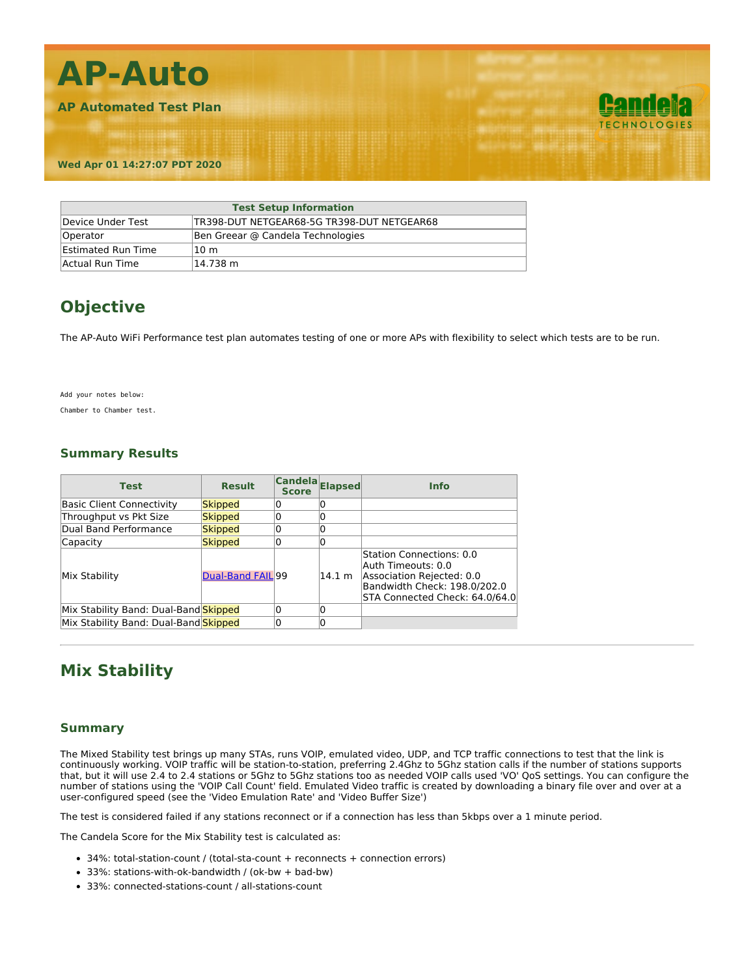

| <b>Test Setup Information</b> |                                            |  |  |  |
|-------------------------------|--------------------------------------------|--|--|--|
| Device Under Test             | TR398-DUT NETGEAR68-5G TR398-DUT NETGEAR68 |  |  |  |
| Operator                      | Ben Greear @ Candela Technologies          |  |  |  |
| <b>Estimated Run Time</b>     | 10 <sub>m</sub>                            |  |  |  |
| Actual Run Time               | 14.738 m                                   |  |  |  |

## **Objective**

The AP-Auto WiFi Performance test plan automates testing of one or more APs with flexibility to select which tests are to be run.

Add your notes below:

Chamber to Chamber test.

### **Summary Results**

| <b>Test</b>                           | <b>Result</b>     | Candela Elapsed<br><b>Score</b> |        | <b>Info</b>                                                                                                                                   |
|---------------------------------------|-------------------|---------------------------------|--------|-----------------------------------------------------------------------------------------------------------------------------------------------|
| <b>Basic Client Connectivity</b>      | Skipped           |                                 |        |                                                                                                                                               |
| Throughput vs Pkt Size                | Skipped           |                                 |        |                                                                                                                                               |
| Dual Band Performance                 | <b>Skipped</b>    |                                 |        |                                                                                                                                               |
| Capacity                              | <b>Skipped</b>    |                                 |        |                                                                                                                                               |
| Mix Stability                         | Dual-Band FAIL 99 |                                 | 14.1 m | Station Connections: 0.0<br>Auth Timeouts: 0.0<br>Association Rejected: 0.0<br>Bandwidth Check: 198.0/202.0<br>STA Connected Check: 64.0/64.0 |
| Mix Stability Band: Dual-Band Skipped |                   |                                 |        |                                                                                                                                               |
| Mix Stability Band: Dual-Band Skipped |                   |                                 |        |                                                                                                                                               |

### **Mix Stability**

#### **Summary**

The Mixed Stability test brings up many STAs, runs VOIP, emulated video, UDP, and TCP traffic connections to test that the link is continuously working. VOIP traffic will be station-to-station, preferring 2.4Ghz to 5Ghz station calls if the number of stations supports that, but it will use 2.4 to 2.4 stations or 5Ghz to 5Ghz stations too as needed VOIP calls used 'VO' QoS settings. You can configure the number of stations using the 'VOIP Call Count' field. Emulated Video traffic is created by downloading a binary file over and over at a user-configured speed (see the 'Video Emulation Rate' and 'Video Buffer Size')

The test is considered failed if any stations reconnect or if a connection has less than 5kbps over a 1 minute period.

The Candela Score for the Mix Stability test is calculated as:

- 34%: total-station-count / (total-sta-count + reconnects + connection errors)
- 33%: stations-with-ok-bandwidth / (ok-bw + bad-bw)
- 33%: connected-stations-count / all-stations-count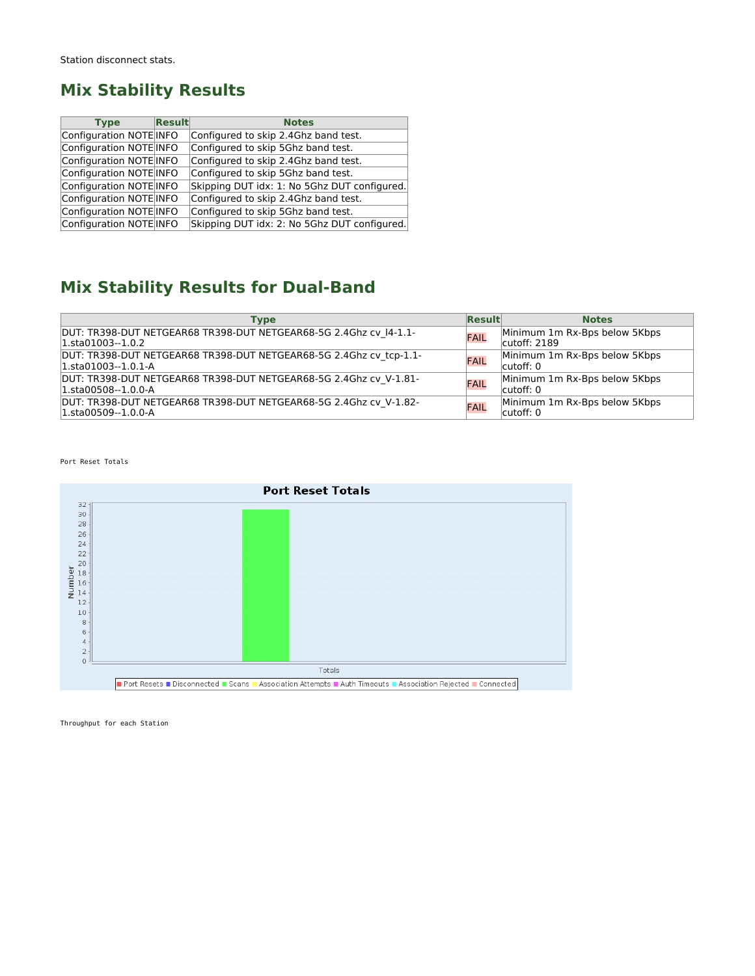### **Mix Stability Results**

| <b>Type</b>             | Result | <b>Notes</b>                                 |
|-------------------------|--------|----------------------------------------------|
| Configuration NOTE INFO |        | Configured to skip 2.4Ghz band test.         |
| Configuration NOTE INFO |        | Configured to skip 5Ghz band test.           |
| Configuration NOTE INFO |        | Configured to skip 2.4Ghz band test.         |
| Configuration NOTE INFO |        | Configured to skip 5Ghz band test.           |
| Configuration NOTE INFO |        | Skipping DUT idx: 1: No 5Ghz DUT configured. |
| Configuration NOTE INFO |        | Configured to skip 2.4Ghz band test.         |
| Configuration NOTE INFO |        | Configured to skip 5Ghz band test.           |
| Configuration NOTE INFO |        | Skipping DUT idx: 2: No 5Ghz DUT configured. |

# **Mix Stability Results for Dual-Band**

| Type                                                                                          | <b>Result</b> | <b>Notes</b>                                   |
|-----------------------------------------------------------------------------------------------|---------------|------------------------------------------------|
| DUT: TR398-DUT NETGEAR68 TR398-DUT NETGEAR68-5G 2.4Ghz cv 14-1.1-<br>$ 1.5t_001003-1.0.2 $    | FAIL          | Minimum 1m Rx-Bps below 5Kbps<br>cutoff: 2189  |
| DUT: TR398-DUT NETGEAR68 TR398-DUT NETGEAR68-5G 2.4Ghz cv tcp-1.1-<br>$1.5t_{a}01003-1.0.1-A$ | FAIL          | Minimum 1m Rx-Bps below 5Kbps<br>cutoff: 0     |
| DUT: TR398-DUT NETGEAR68 TR398-DUT NETGEAR68-5G 2.4Ghz cv V-1.81-<br>$1.5t_{a}00508-1.0.0-A$  | FAIL          | Minimum 1m Rx-Bps below 5Kbps<br>$l$ cutoff: 0 |
| DUT: TR398-DUT NETGEAR68 TR398-DUT NETGEAR68-5G 2.4Ghz cv V-1.82-<br>$1.5t_{a}00509-1.0.0-A$  | FAIL          | Minimum 1m Rx-Bps below 5Kbps<br>cutoff: 0     |

Port Reset Totals



Throughput for each Station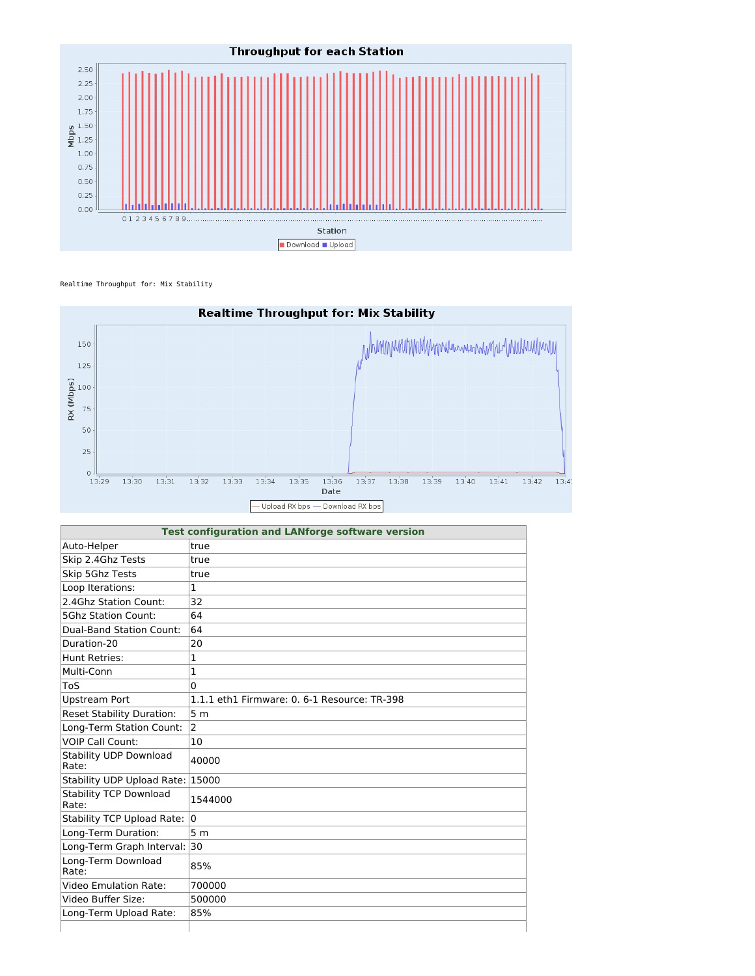

Realtime Throughput for: Mix Stability



| <b>Test configuration and LANforge software version</b> |                                              |  |
|---------------------------------------------------------|----------------------------------------------|--|
| Auto-Helper                                             | true                                         |  |
| Skip 2.4Ghz Tests                                       | true                                         |  |
| Skip 5Ghz Tests                                         | true                                         |  |
| Loop Iterations:                                        | $\mathbf{1}$                                 |  |
| 2.4Ghz Station Count:                                   | 32                                           |  |
| <b>5Ghz Station Count:</b>                              | 64                                           |  |
| Dual-Band Station Count:                                | 64                                           |  |
| Duration-20                                             | 20                                           |  |
| Hunt Retries:                                           | 1                                            |  |
| Multi-Conn                                              | $\mathbf{1}$                                 |  |
| ToS                                                     | $\Omega$                                     |  |
| <b>Upstream Port</b>                                    | 1.1.1 eth1 Firmware: 0. 6-1 Resource: TR-398 |  |
| <b>Reset Stability Duration:</b>                        | 5 <sub>m</sub>                               |  |
| Long-Term Station Count:                                | $\overline{2}$                               |  |
| <b>VOIP Call Count:</b>                                 | 10                                           |  |
| <b>Stability UDP Download</b><br>Rate:                  | 40000                                        |  |
| Stability UDP Upload Rate: 15000                        |                                              |  |
| <b>Stability TCP Download</b><br>Rate:                  | 1544000                                      |  |
| <b>Stability TCP Upload Rate:</b>                       | l0                                           |  |
| Long-Term Duration:                                     | 5 <sub>m</sub>                               |  |
| Long-Term Graph Interval: 30                            |                                              |  |
| Long-Term Download<br>Rate:                             | 85%                                          |  |
| Video Emulation Rate:                                   | 700000                                       |  |
| Video Buffer Size:                                      | 500000                                       |  |
| Long-Term Upload Rate:                                  | 85%                                          |  |
|                                                         |                                              |  |